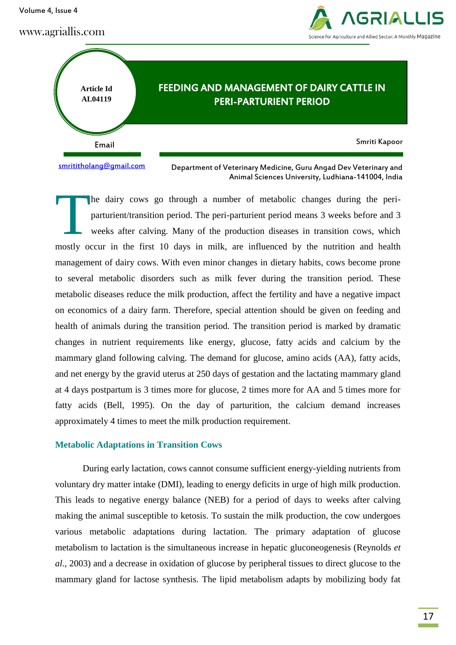Volume 4, Issue 4

www.agriallis.com





[smrititholang@gmail.com](mailto:smrititholang@gmail.com)

Department of Veterinary Medicine, Guru Angad Dev Veterinary and Animal Sciences University, Ludhiana-141004, India

he dairy cows go through a number of metabolic changes during the periparturient/transition period. The peri-parturient period means 3 weeks before and 3 weeks after calving. Many of the production diseases in transition cows, which mostly occur in the first 10 days in milk, are influenced by the nutrition and health management of dairy cows. With even minor changes in dietary habits, cows become prone to several metabolic disorders such as milk fever during the transition period. These metabolic diseases reduce the milk production, affect the fertility and have a negative impact on economics of a dairy farm. Therefore, special attention should be given on feeding and health of animals during the transition period. The transition period is marked by dramatic changes in nutrient requirements like energy, glucose, fatty acids and calcium by the mammary gland following calving. The demand for glucose, amino acids (AA), fatty acids, and net energy by the gravid uterus at 250 days of gestation and the lactating mammary gland at 4 days postpartum is 3 times more for glucose, 2 times more for AA and 5 times more for fatty acids (Bell, 1995). On the day of parturition, the calcium demand increases approximately 4 times to meet the milk production requirement. T

# **Metabolic Adaptations in Transition Cows**

During early lactation, cows cannot consume sufficient energy-yielding nutrients from voluntary dry matter intake (DMI), leading to energy deficits in urge of high milk production. This leads to negative energy balance (NEB) for a period of days to weeks after calving making the animal susceptible to ketosis. To sustain the milk production, the cow undergoes various metabolic adaptations during lactation. The primary adaptation of glucose metabolism to lactation is the simultaneous increase in hepatic gluconeogenesis (Reynolds *et al*., 2003) and a decrease in oxidation of glucose by peripheral tissues to direct glucose to the mammary gland for lactose synthesis. The lipid metabolism adapts by mobilizing body fat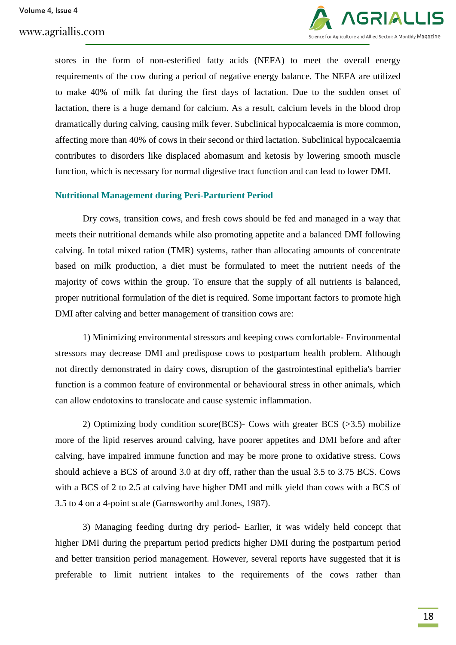

stores in the form of non-esterified fatty acids (NEFA) to meet the overall energy requirements of the cow during a period of negative energy balance. The NEFA are utilized to make 40% of milk fat during the first days of lactation. Due to the sudden onset of lactation, there is a huge demand for calcium. As a result, calcium levels in the blood drop dramatically during calving, causing milk fever. Subclinical hypocalcaemia is more common, affecting more than 40% of cows in their second or third lactation. Subclinical hypocalcaemia contributes to disorders like displaced abomasum and ketosis by lowering smooth muscle function, which is necessary for normal digestive tract function and can lead to lower DMI.

# **Nutritional Management during Peri-Parturient Period**

Dry cows, transition cows, and fresh cows should be fed and managed in a way that meets their nutritional demands while also promoting appetite and a balanced DMI following calving. In total mixed ration (TMR) systems, rather than allocating amounts of concentrate based on milk production, a diet must be formulated to meet the nutrient needs of the majority of cows within the group. To ensure that the supply of all nutrients is balanced, proper nutritional formulation of the diet is required. Some important factors to promote high DMI after calving and better management of transition cows are:

1) Minimizing environmental stressors and keeping cows comfortable- Environmental stressors may decrease DMI and predispose cows to postpartum health problem. Although not directly demonstrated in dairy cows, disruption of the gastrointestinal epithelia's barrier function is a common feature of environmental or behavioural stress in other animals, which can allow endotoxins to translocate and cause systemic inflammation.

2) Optimizing body condition score(BCS)- Cows with greater BCS (>3.5) mobilize more of the lipid reserves around calving, have poorer appetites and DMI before and after calving, have impaired immune function and may be more prone to oxidative stress. Cows should achieve a BCS of around 3.0 at dry off, rather than the usual 3.5 to 3.75 BCS. Cows with a BCS of 2 to 2.5 at calving have higher DMI and milk yield than cows with a BCS of 3.5 to 4 on a 4-point scale (Garnsworthy and Jones, 1987).

3) Managing feeding during dry period- Earlier, it was widely held concept that higher DMI during the prepartum period predicts higher DMI during the postpartum period and better transition period management. However, several reports have suggested that it is preferable to limit nutrient intakes to the requirements of the cows rather than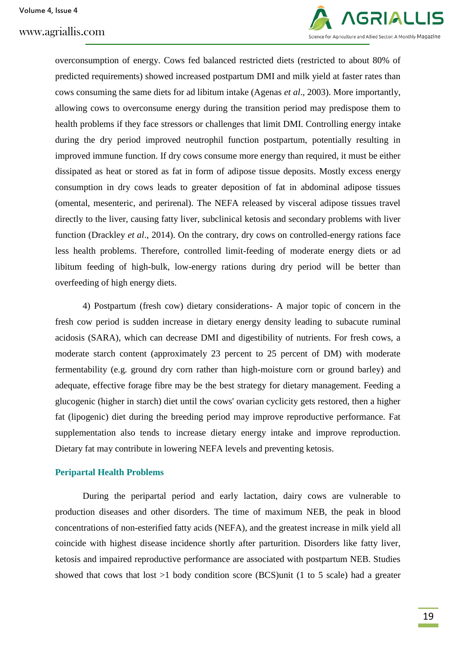www.agriallis.com



overconsumption of energy. Cows fed balanced restricted diets (restricted to about 80% of predicted requirements) showed increased postpartum DMI and milk yield at faster rates than cows consuming the same diets for ad libitum intake (Agenas *et al*., 2003). More importantly, allowing cows to overconsume energy during the transition period may predispose them to health problems if they face stressors or challenges that limit DMI. Controlling energy intake during the dry period improved neutrophil function postpartum, potentially resulting in improved immune function. If dry cows consume more energy than required, it must be either dissipated as heat or stored as fat in form of adipose tissue deposits. Mostly excess energy consumption in dry cows leads to greater deposition of fat in abdominal adipose tissues (omental, mesenteric, and perirenal). The NEFA released by visceral adipose tissues travel directly to the liver, causing fatty liver, subclinical ketosis and secondary problems with liver function (Drackley *et al*., 2014). On the contrary, dry cows on controlled-energy rations face less health problems. Therefore, controlled limit-feeding of moderate energy diets or ad libitum feeding of high-bulk, low-energy rations during dry period will be better than overfeeding of high energy diets.

4) Postpartum (fresh cow) dietary considerations- A major topic of concern in the fresh cow period is sudden increase in dietary energy density leading to subacute ruminal acidosis (SARA), which can decrease DMI and digestibility of nutrients. For fresh cows, a moderate starch content (approximately 23 percent to 25 percent of DM) with moderate fermentability (e.g. ground dry corn rather than high-moisture corn or ground barley) and adequate, effective forage fibre may be the best strategy for dietary management. Feeding a glucogenic (higher in starch) diet until the cows' ovarian cyclicity gets restored, then a higher fat (lipogenic) diet during the breeding period may improve reproductive performance. Fat supplementation also tends to increase dietary energy intake and improve reproduction. Dietary fat may contribute in lowering NEFA levels and preventing ketosis.

### **Peripartal Health Problems**

During the peripartal period and early lactation, dairy cows are vulnerable to production diseases and other disorders. The time of maximum NEB, the peak in blood concentrations of non-esterified fatty acids (NEFA), and the greatest increase in milk yield all coincide with highest disease incidence shortly after parturition. Disorders like fatty liver, ketosis and impaired reproductive performance are associated with postpartum NEB. Studies showed that cows that lost  $>1$  body condition score (BCS)unit (1 to 5 scale) had a greater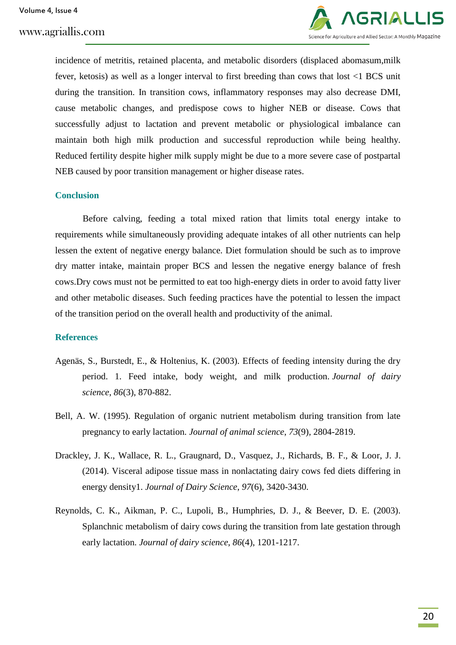

incidence of metritis, retained placenta, and metabolic disorders (displaced abomasum,milk fever, ketosis) as well as a longer interval to first breeding than cows that lost <1 BCS unit during the transition. In transition cows, inflammatory responses may also decrease DMI, cause metabolic changes, and predispose cows to higher NEB or disease. Cows that successfully adjust to lactation and prevent metabolic or physiological imbalance can maintain both high milk production and successful reproduction while being healthy. Reduced fertility despite higher milk supply might be due to a more severe case of postpartal NEB caused by poor transition management or higher disease rates.

# **Conclusion**

Before calving, feeding a total mixed ration that limits total energy intake to requirements while simultaneously providing adequate intakes of all other nutrients can help lessen the extent of negative energy balance. Diet formulation should be such as to improve dry matter intake, maintain proper BCS and lessen the negative energy balance of fresh cows.Dry cows must not be permitted to eat too high-energy diets in order to avoid fatty liver and other metabolic diseases. Such feeding practices have the potential to lessen the impact of the transition period on the overall health and productivity of the animal.

# **References**

- Agenäs, S., Burstedt, E., & Holtenius, K. (2003). Effects of feeding intensity during the dry period. 1. Feed intake, body weight, and milk production. *Journal of dairy science*, *86*(3), 870-882.
- Bell, A. W. (1995). Regulation of organic nutrient metabolism during transition from late pregnancy to early lactation. *Journal of animal science*, *73*(9), 2804-2819.
- Drackley, J. K., Wallace, R. L., Graugnard, D., Vasquez, J., Richards, B. F., & Loor, J. J. (2014). Visceral adipose tissue mass in nonlactating dairy cows fed diets differing in energy density1. *Journal of Dairy Science*, *97*(6), 3420-3430.
- Reynolds, C. K., Aikman, P. C., Lupoli, B., Humphries, D. J., & Beever, D. E. (2003). Splanchnic metabolism of dairy cows during the transition from late gestation through early lactation. *Journal of dairy science*, *86*(4), 1201-1217.